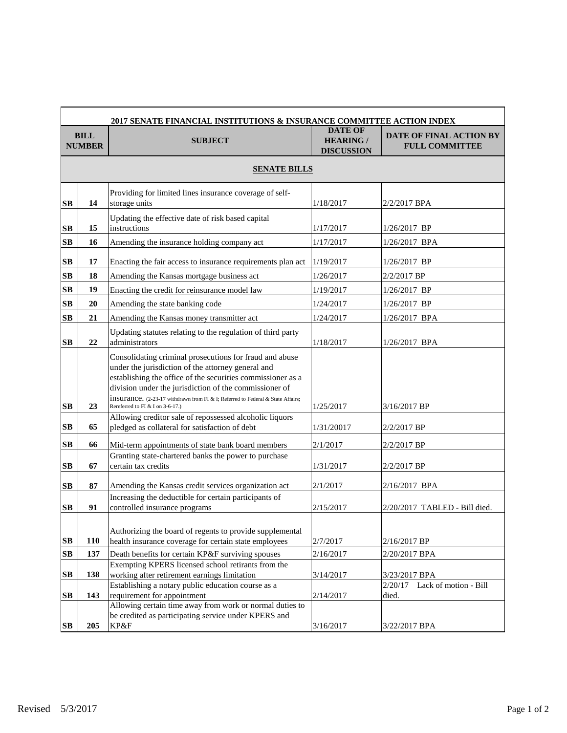| 2017 SENATE FINANCIAL INSTITUTIONS & INSURANCE COMMITTEE ACTION INDEX |     |                                                                                                                                                                                                                                                                                                                                                                      |                                                         |                                                         |  |  |  |
|-----------------------------------------------------------------------|-----|----------------------------------------------------------------------------------------------------------------------------------------------------------------------------------------------------------------------------------------------------------------------------------------------------------------------------------------------------------------------|---------------------------------------------------------|---------------------------------------------------------|--|--|--|
| <b>BILL</b><br><b>NUMBER</b>                                          |     | <b>SUBJECT</b>                                                                                                                                                                                                                                                                                                                                                       | <b>DATE OF</b><br><b>HEARING /</b><br><b>DISCUSSION</b> | <b>DATE OF FINAL ACTION BY</b><br><b>FULL COMMITTEE</b> |  |  |  |
| <b>SENATE BILLS</b>                                                   |     |                                                                                                                                                                                                                                                                                                                                                                      |                                                         |                                                         |  |  |  |
| $\mathbf{S}\mathbf{B}$                                                | 14  | Providing for limited lines insurance coverage of self-<br>storage units                                                                                                                                                                                                                                                                                             | 1/18/2017                                               | 2/2/2017 BPA                                            |  |  |  |
| $\mathbf{S}\mathbf{B}$                                                | 15  | Updating the effective date of risk based capital<br>instructions                                                                                                                                                                                                                                                                                                    | 1/17/2017                                               | $1/26/2017$ BP                                          |  |  |  |
| $\mathbf{S}\mathbf{B}$                                                | 16  | Amending the insurance holding company act                                                                                                                                                                                                                                                                                                                           | 1/17/2017                                               | $1/26/2017$ BPA                                         |  |  |  |
| $\mathbf{S}\mathbf{B}$                                                | 17  | Enacting the fair access to insurance requirements plan act                                                                                                                                                                                                                                                                                                          | 1/19/2017                                               | $1/26/2017$ BP                                          |  |  |  |
| $\mathbf{S}\mathbf{B}$                                                | 18  | Amending the Kansas mortgage business act                                                                                                                                                                                                                                                                                                                            | 1/26/2017                                               | 2/2/2017 BP                                             |  |  |  |
| $\mathbf{S}\mathbf{B}$                                                | 19  | Enacting the credit for reinsurance model law                                                                                                                                                                                                                                                                                                                        | 1/19/2017                                               | $1/26/2017$ BP                                          |  |  |  |
| $\mathbf{S}\mathbf{B}$                                                | 20  | Amending the state banking code                                                                                                                                                                                                                                                                                                                                      | 1/24/2017                                               | $1/26/2017$ BP                                          |  |  |  |
| SB                                                                    | 21  | Amending the Kansas money transmitter act                                                                                                                                                                                                                                                                                                                            | 1/24/2017                                               | 1/26/2017 BPA                                           |  |  |  |
| $\mathbf{S}\mathbf{B}$                                                | 22  | Updating statutes relating to the regulation of third party<br>administrators                                                                                                                                                                                                                                                                                        | 1/18/2017                                               | 1/26/2017 BPA                                           |  |  |  |
| SB                                                                    | 23  | Consolidating criminal prosecutions for fraud and abuse<br>under the jurisdiction of the attorney general and<br>establishing the office of the securities commissioner as a<br>division under the jurisdiction of the commissioner of<br><b>insurance.</b> (2-23-17 withdrawn from FI & I; Referred to Federal & State Affairs;<br>Rereferred to FI & I on 3-6-17.) | 1/25/2017                                               | 3/16/2017 BP                                            |  |  |  |
| $\mathbf{S}\mathbf{B}$                                                | 65  | Allowing creditor sale of repossessed alcoholic liquors<br>pledged as collateral for satisfaction of debt                                                                                                                                                                                                                                                            | 1/31/20017                                              | 2/2/2017 BP                                             |  |  |  |
| SB                                                                    | 66  | Mid-term appointments of state bank board members                                                                                                                                                                                                                                                                                                                    | 2/1/2017                                                | 2/2/2017 BP                                             |  |  |  |
| $\mathbf{S}\mathbf{B}$                                                | 67  | Granting state-chartered banks the power to purchase<br>certain tax credits                                                                                                                                                                                                                                                                                          | 1/31/2017                                               | 2/2/2017 BP                                             |  |  |  |
| $\mathbf{S}\mathbf{B}$                                                | 87  | Amending the Kansas credit services organization act                                                                                                                                                                                                                                                                                                                 | 2/1/2017                                                | 2/16/2017 BPA                                           |  |  |  |
| $\mathbf{S}\mathbf{B}$                                                | 91  | Increasing the deductible for certain participants of<br>controlled insurance programs                                                                                                                                                                                                                                                                               | 2/15/2017                                               | 2/20/2017 TABLED - Bill died.                           |  |  |  |
| $\mathbf{S}\mathbf{B}$                                                | 110 | Authorizing the board of regents to provide supplemental<br>health insurance coverage for certain state employees                                                                                                                                                                                                                                                    | 2/7/2017                                                | 2/16/2017 BP                                            |  |  |  |
| $\mathbf{S}\mathbf{B}$                                                | 137 | Death benefits for certain KP&F surviving spouses                                                                                                                                                                                                                                                                                                                    | 2/16/2017                                               | 2/20/2017 BPA                                           |  |  |  |
| $\mathbf{S}\mathbf{B}$                                                | 138 | Exempting KPERS licensed school retirants from the<br>working after retirement earnings limitation                                                                                                                                                                                                                                                                   | 3/14/2017                                               | 3/23/2017 BPA                                           |  |  |  |
| $\mathbf{S}\mathbf{B}$                                                | 143 | Establishing a notary public education course as a<br>requirement for appointment                                                                                                                                                                                                                                                                                    | 2/14/2017                                               | Lack of motion - Bill<br>2/20/17<br>died.               |  |  |  |
|                                                                       |     | Allowing certain time away from work or normal duties to<br>be credited as participating service under KPERS and                                                                                                                                                                                                                                                     |                                                         |                                                         |  |  |  |
| $\mathbf{S}\mathbf{B}$                                                | 205 | KP&F                                                                                                                                                                                                                                                                                                                                                                 | 3/16/2017                                               | 3/22/2017 BPA                                           |  |  |  |